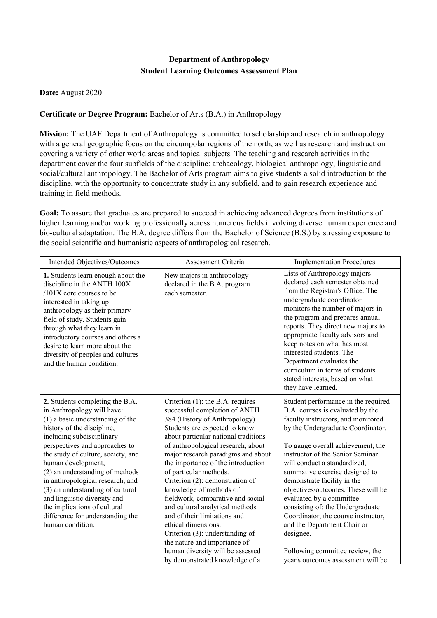## **Department of Anthropology Student Learning Outcomes Assessment Plan**

## **Date:** August 2020

## **Certificate or Degree Program:** Bachelor of Arts (B.A.) in Anthropology

**Mission:** The UAF Department of Anthropology is committed to scholarship and research in anthropology with a general geographic focus on the circumpolar regions of the north, as well as research and instruction covering a variety of other world areas and topical subjects. The teaching and research activities in the department cover the four subfields of the discipline: archaeology, biological anthropology, linguistic and social/cultural anthropology. The Bachelor of Arts program aims to give students a solid introduction to the discipline, with the opportunity to concentrate study in any subfield, and to gain research experience and training in field methods.

**Goal:** To assure that graduates are prepared to succeed in achieving advanced degrees from institutions of higher learning and/or working professionally across numerous fields involving diverse human experience and bio-cultural adaptation. The B.A. degree differs from the Bachelor of Science (B.S.) by stressing exposure to the social scientific and humanistic aspects of anthropological research.

| Intended Objectives/Outcomes                                                                                                                                                                                                                                                                                                                                                                                                                                                                    | Assessment Criteria                                                                                                                                                                                                                                                                                                                                                                                                                                                                                                                                                                                                                                               | <b>Implementation Procedures</b>                                                                                                                                                                                                                                                                                                                                                                                                                                                                                                                                                               |
|-------------------------------------------------------------------------------------------------------------------------------------------------------------------------------------------------------------------------------------------------------------------------------------------------------------------------------------------------------------------------------------------------------------------------------------------------------------------------------------------------|-------------------------------------------------------------------------------------------------------------------------------------------------------------------------------------------------------------------------------------------------------------------------------------------------------------------------------------------------------------------------------------------------------------------------------------------------------------------------------------------------------------------------------------------------------------------------------------------------------------------------------------------------------------------|------------------------------------------------------------------------------------------------------------------------------------------------------------------------------------------------------------------------------------------------------------------------------------------------------------------------------------------------------------------------------------------------------------------------------------------------------------------------------------------------------------------------------------------------------------------------------------------------|
| 1. Students learn enough about the<br>discipline in the ANTH 100X<br>/101X core courses to be<br>interested in taking up<br>anthropology as their primary<br>field of study. Students gain<br>through what they learn in<br>introductory courses and others a<br>desire to learn more about the<br>diversity of peoples and cultures<br>and the human condition.                                                                                                                                | New majors in anthropology<br>declared in the B.A. program<br>each semester.                                                                                                                                                                                                                                                                                                                                                                                                                                                                                                                                                                                      | Lists of Anthropology majors<br>declared each semester obtained<br>from the Registrar's Office. The<br>undergraduate coordinator<br>monitors the number of majors in<br>the program and prepares annual<br>reports. They direct new majors to<br>appropriate faculty advisors and<br>keep notes on what has most<br>interested students. The<br>Department evaluates the<br>curriculum in terms of students'<br>stated interests, based on what<br>they have learned.                                                                                                                          |
| 2. Students completing the B.A.<br>in Anthropology will have:<br>$(1)$ a basic understanding of the<br>history of the discipline,<br>including subdisciplinary<br>perspectives and approaches to<br>the study of culture, society, and<br>human development,<br>(2) an understanding of methods<br>in anthropological research, and<br>(3) an understanding of cultural<br>and linguistic diversity and<br>the implications of cultural<br>difference for understanding the<br>human condition. | Criterion $(1)$ : the B.A. requires<br>successful completion of ANTH<br>384 (History of Anthropology).<br>Students are expected to know<br>about particular national traditions<br>of anthropological research, about<br>major research paradigms and about<br>the importance of the introduction<br>of particular methods.<br>Criterion (2): demonstration of<br>knowledge of methods of<br>fieldwork, comparative and social<br>and cultural analytical methods<br>and of their limitations and<br>ethical dimensions.<br>Criterion (3): understanding of<br>the nature and importance of<br>human diversity will be assessed<br>by demonstrated knowledge of a | Student performance in the required<br>B.A. courses is evaluated by the<br>faculty instructors, and monitored<br>by the Undergraduate Coordinator.<br>To gauge overall achievement, the<br>instructor of the Senior Seminar<br>will conduct a standardized,<br>summative exercise designed to<br>demonstrate facility in the<br>objectives/outcomes. These will be<br>evaluated by a committee<br>consisting of: the Undergraduate<br>Coordinator, the course instructor,<br>and the Department Chair or<br>designee.<br>Following committee review, the<br>year's outcomes assessment will be |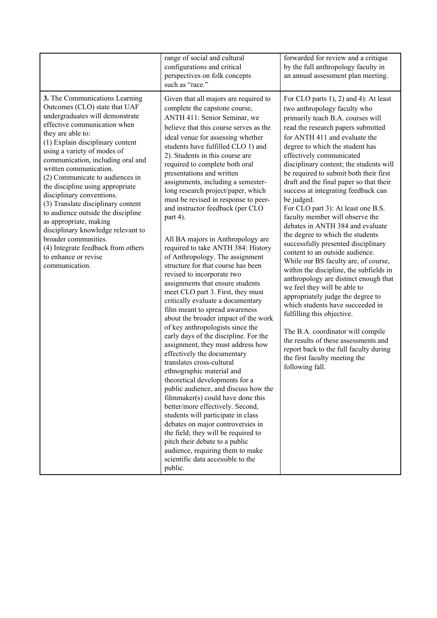|                                                                                                                                                                                                                                                                                                                                                                                                                                                                                                                                                                                                                                                   | range of social and cultural<br>configurations and critical<br>perspectives on folk concepts<br>such as "race."                                                                                                                                                                                                                                                                                                                                                                                                                                                                                                                                                                                                                                                                                                                                                                                                                                                                                                                                                                                                                                                                                                                                                                                                                                                                                                                                                                   | forwarded for review and a critique<br>by the full anthropology faculty in<br>an annual assessment plan meeting.                                                                                                                                                                                                                                                                                                                                                                                                                                                                                                                                                                                                                                                                                                                                                                                                                                                                                                                                                                                               |
|---------------------------------------------------------------------------------------------------------------------------------------------------------------------------------------------------------------------------------------------------------------------------------------------------------------------------------------------------------------------------------------------------------------------------------------------------------------------------------------------------------------------------------------------------------------------------------------------------------------------------------------------------|-----------------------------------------------------------------------------------------------------------------------------------------------------------------------------------------------------------------------------------------------------------------------------------------------------------------------------------------------------------------------------------------------------------------------------------------------------------------------------------------------------------------------------------------------------------------------------------------------------------------------------------------------------------------------------------------------------------------------------------------------------------------------------------------------------------------------------------------------------------------------------------------------------------------------------------------------------------------------------------------------------------------------------------------------------------------------------------------------------------------------------------------------------------------------------------------------------------------------------------------------------------------------------------------------------------------------------------------------------------------------------------------------------------------------------------------------------------------------------------|----------------------------------------------------------------------------------------------------------------------------------------------------------------------------------------------------------------------------------------------------------------------------------------------------------------------------------------------------------------------------------------------------------------------------------------------------------------------------------------------------------------------------------------------------------------------------------------------------------------------------------------------------------------------------------------------------------------------------------------------------------------------------------------------------------------------------------------------------------------------------------------------------------------------------------------------------------------------------------------------------------------------------------------------------------------------------------------------------------------|
| 3. The Communications Learning<br>Outcomes (CLO) state that UAF<br>undergraduates will demonstrate<br>effective communication when<br>they are able to:<br>(1) Explain disciplinary content<br>using a variety of modes of<br>communication, including oral and<br>written communication.<br>(2) Communicate to audiences in<br>the discipline using appropriate<br>disciplinary conventions.<br>(3) Translate disciplinary content<br>to audience outside the discipline<br>as appropriate, making<br>disciplinary knowledge relevant to<br>broader communities.<br>(4) Integrate feedback from others<br>to enhance or revise<br>communication. | Given that all majors are required to<br>complete the capstone course,<br>ANTH 411: Senior Seminar, we<br>believe that this course serves as the<br>ideal venue for assessing whether<br>students have fulfilled CLO 1) and<br>2). Students in this course are<br>required to complete both oral<br>presentations and written<br>assignments, including a semester-<br>long research project/paper, which<br>must be revised in response to peer-<br>and instructor feedback (per CLO<br>part 4).<br>All BA majors in Anthropology are<br>required to take ANTH 384: History<br>of Anthropology. The assignment<br>structure for that course has been<br>revised to incorporate two<br>assignments that ensure students<br>meet CLO part 3. First, they must<br>critically evaluate a documentary<br>film meant to spread awareness<br>about the broader impact of the work<br>of key anthropologists since the<br>early days of the discipline. For the<br>assignment, they must address how<br>effectively the documentary<br>translates cross-cultural<br>ethnographic material and<br>theoretical developments for a<br>public audience, and discuss how the<br>filmmaker(s) could have done this<br>better/more effectively. Second,<br>students will participate in class<br>debates on major controversies in<br>the field; they will be required to<br>pitch their debate to a public<br>audience, requiring them to make<br>scientific data accessible to the<br>public. | For CLO parts 1), 2) and 4): At least<br>two anthropology faculty who<br>primarily teach B.A. courses will<br>read the research papers submitted<br>for ANTH 411 and evaluate the<br>degree to which the student has<br>effectively communicated<br>disciplinary content; the students will<br>be required to submit both their first<br>draft and the final paper so that their<br>success at integrating feedback can<br>be judged.<br>For CLO part 3): At least one B.S.<br>faculty member will observe the<br>debates in ANTH 384 and evaluate<br>the degree to which the students<br>successfully presented disciplinary<br>content to an outside audience.<br>While our BS faculty are, of course,<br>within the discipline, the subfields in<br>anthropology are distinct enough that<br>we feel they will be able to<br>appropriately judge the degree to<br>which students have succeeded in<br>fulfilling this objective.<br>The B.A. coordinator will compile<br>the results of these assessments and<br>report back to the full faculty during<br>the first faculty meeting the<br>following fall. |